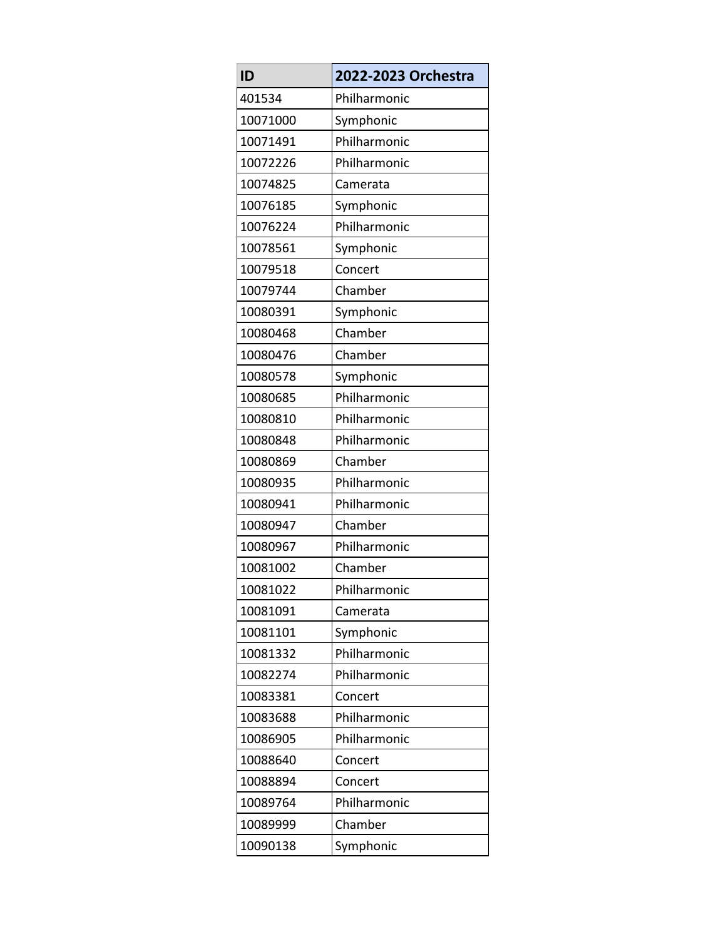| ID       | 2022-2023 Orchestra |
|----------|---------------------|
| 401534   | Philharmonic        |
| 10071000 | Symphonic           |
| 10071491 | Philharmonic        |
| 10072226 | Philharmonic        |
| 10074825 | Camerata            |
| 10076185 | Symphonic           |
| 10076224 | Philharmonic        |
| 10078561 | Symphonic           |
| 10079518 | Concert             |
| 10079744 | Chamber             |
| 10080391 | Symphonic           |
| 10080468 | Chamber             |
| 10080476 | Chamber             |
| 10080578 | Symphonic           |
| 10080685 | Philharmonic        |
| 10080810 | Philharmonic        |
| 10080848 | Philharmonic        |
| 10080869 | Chamber             |
| 10080935 | Philharmonic        |
| 10080941 | Philharmonic        |
| 10080947 | Chamber             |
| 10080967 | Philharmonic        |
| 10081002 | Chamber             |
| 10081022 | Philharmonic        |
| 10081091 | Camerata            |
| 10081101 | Symphonic           |
| 10081332 | Philharmonic        |
| 10082274 | Philharmonic        |
| 10083381 | Concert             |
| 10083688 | Philharmonic        |
| 10086905 | Philharmonic        |
| 10088640 | Concert             |
| 10088894 | Concert             |
| 10089764 | Philharmonic        |
| 10089999 | Chamber             |
| 10090138 | Symphonic           |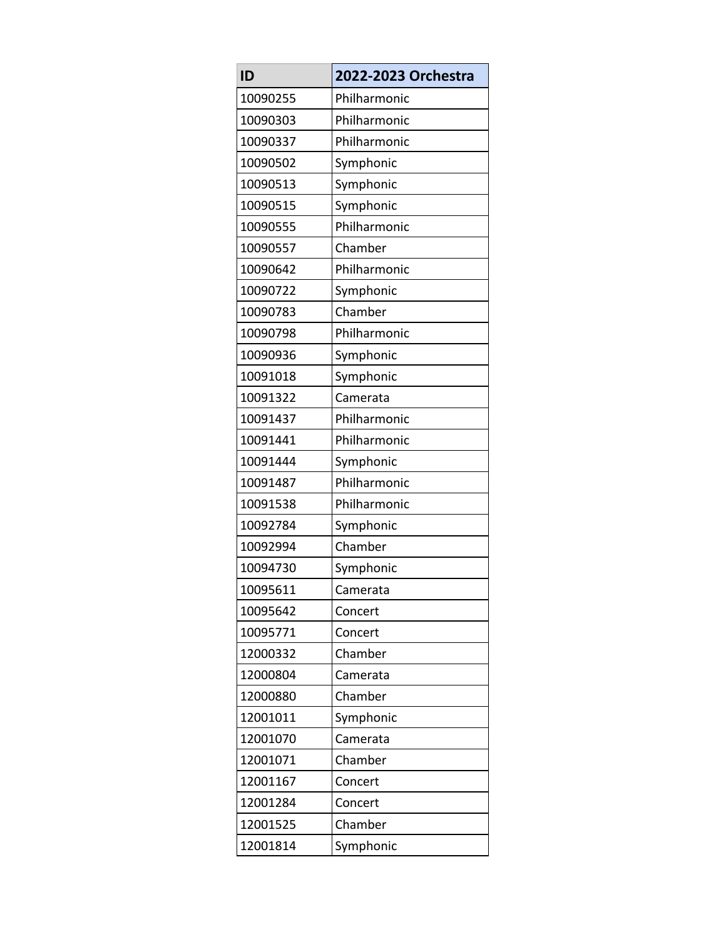| ID       | 2022-2023 Orchestra |
|----------|---------------------|
| 10090255 | Philharmonic        |
| 10090303 | Philharmonic        |
| 10090337 | Philharmonic        |
| 10090502 | Symphonic           |
| 10090513 | Symphonic           |
| 10090515 | Symphonic           |
| 10090555 | Philharmonic        |
| 10090557 | Chamber             |
| 10090642 | Philharmonic        |
| 10090722 | Symphonic           |
| 10090783 | Chamber             |
| 10090798 | Philharmonic        |
| 10090936 | Symphonic           |
| 10091018 | Symphonic           |
| 10091322 | Camerata            |
| 10091437 | Philharmonic        |
| 10091441 | Philharmonic        |
| 10091444 | Symphonic           |
| 10091487 | Philharmonic        |
| 10091538 | Philharmonic        |
| 10092784 | Symphonic           |
| 10092994 | Chamber             |
| 10094730 | Symphonic           |
| 10095611 | Camerata            |
| 10095642 | Concert             |
| 10095771 | Concert             |
| 12000332 | Chamber             |
| 12000804 | Camerata            |
| 12000880 | Chamber             |
| 12001011 | Symphonic           |
| 12001070 | Camerata            |
| 12001071 | Chamber             |
| 12001167 | Concert             |
| 12001284 | Concert             |
| 12001525 | Chamber             |
| 12001814 | Symphonic           |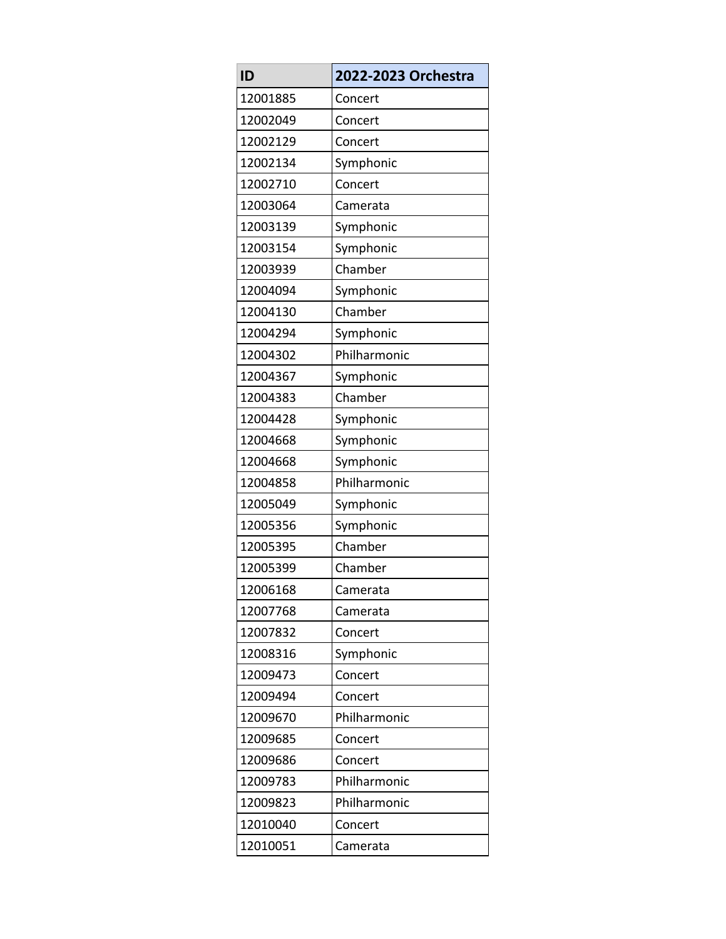| ID       | 2022-2023 Orchestra |
|----------|---------------------|
| 12001885 | Concert             |
| 12002049 | Concert             |
| 12002129 | Concert             |
| 12002134 | Symphonic           |
| 12002710 | Concert             |
| 12003064 | Camerata            |
| 12003139 | Symphonic           |
| 12003154 | Symphonic           |
| 12003939 | Chamber             |
| 12004094 | Symphonic           |
| 12004130 | Chamber             |
| 12004294 | Symphonic           |
| 12004302 | Philharmonic        |
| 12004367 | Symphonic           |
| 12004383 | Chamber             |
| 12004428 | Symphonic           |
| 12004668 | Symphonic           |
| 12004668 | Symphonic           |
| 12004858 | Philharmonic        |
| 12005049 | Symphonic           |
| 12005356 | Symphonic           |
| 12005395 | Chamber             |
| 12005399 | Chamber             |
| 12006168 | Camerata            |
| 12007768 | Camerata            |
| 12007832 | Concert             |
| 12008316 | Symphonic           |
| 12009473 | Concert             |
| 12009494 | Concert             |
| 12009670 | Philharmonic        |
| 12009685 | Concert             |
| 12009686 | Concert             |
| 12009783 | Philharmonic        |
| 12009823 | Philharmonic        |
| 12010040 | Concert             |
| 12010051 | Camerata            |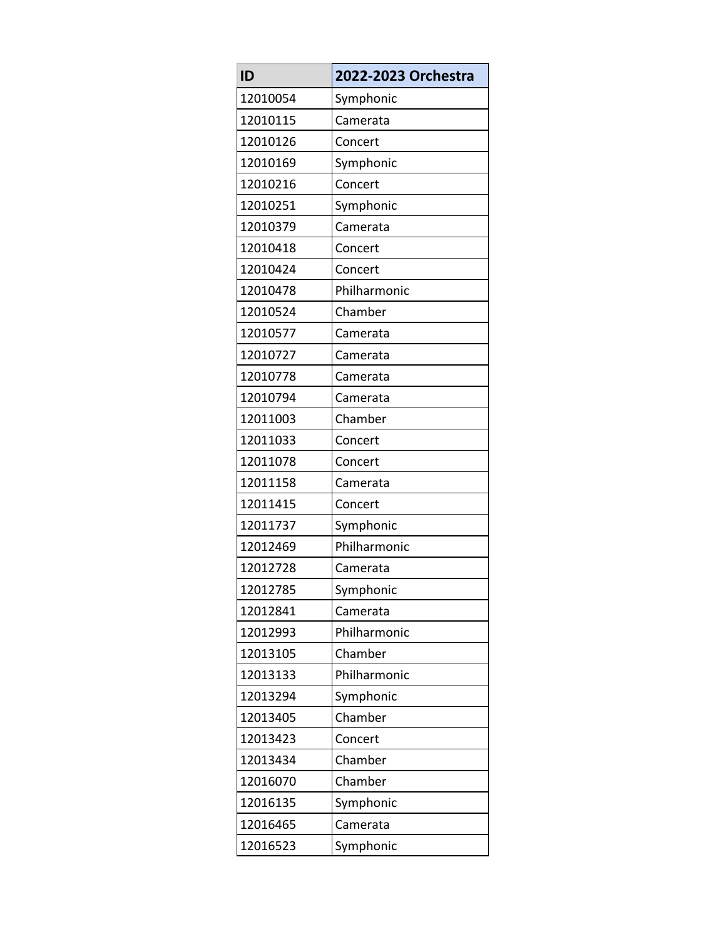| ID       | 2022-2023 Orchestra |
|----------|---------------------|
| 12010054 | Symphonic           |
| 12010115 | Camerata            |
| 12010126 | Concert             |
| 12010169 | Symphonic           |
| 12010216 | Concert             |
| 12010251 | Symphonic           |
| 12010379 | Camerata            |
| 12010418 | Concert             |
| 12010424 | Concert             |
| 12010478 | Philharmonic        |
| 12010524 | Chamber             |
| 12010577 | Camerata            |
| 12010727 | Camerata            |
| 12010778 | Camerata            |
| 12010794 | Camerata            |
| 12011003 | Chamber             |
| 12011033 | Concert             |
| 12011078 | Concert             |
| 12011158 | Camerata            |
| 12011415 | Concert             |
| 12011737 | Symphonic           |
| 12012469 | Philharmonic        |
| 12012728 | Camerata            |
| 12012785 | Symphonic           |
| 12012841 | Camerata            |
| 12012993 | Philharmonic        |
| 12013105 | Chamber             |
| 12013133 | Philharmonic        |
| 12013294 | Symphonic           |
| 12013405 | Chamber             |
| 12013423 | Concert             |
| 12013434 | Chamber             |
| 12016070 | Chamber             |
| 12016135 | Symphonic           |
| 12016465 | Camerata            |
| 12016523 | Symphonic           |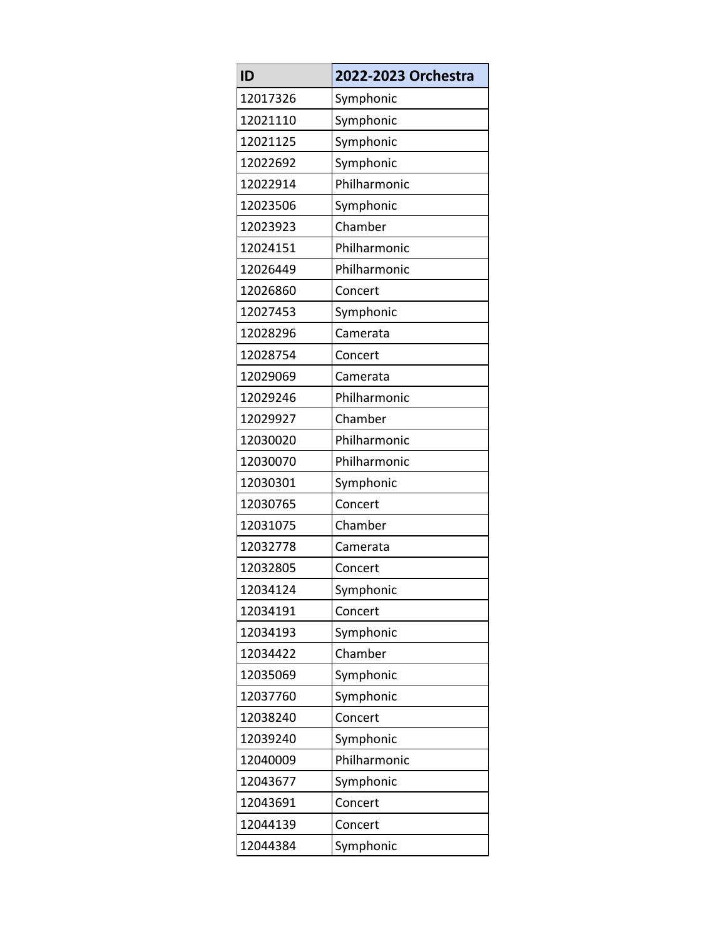| ID       | 2022-2023 Orchestra |
|----------|---------------------|
| 12017326 | Symphonic           |
| 12021110 | Symphonic           |
| 12021125 | Symphonic           |
| 12022692 | Symphonic           |
| 12022914 | Philharmonic        |
| 12023506 | Symphonic           |
| 12023923 | Chamber             |
| 12024151 | Philharmonic        |
| 12026449 | Philharmonic        |
| 12026860 | Concert             |
| 12027453 | Symphonic           |
| 12028296 | Camerata            |
| 12028754 | Concert             |
| 12029069 | Camerata            |
| 12029246 | Philharmonic        |
| 12029927 | Chamber             |
| 12030020 | Philharmonic        |
| 12030070 | Philharmonic        |
| 12030301 | Symphonic           |
| 12030765 | Concert             |
| 12031075 | Chamber             |
| 12032778 | Camerata            |
| 12032805 | Concert             |
| 12034124 | Symphonic           |
| 12034191 | Concert             |
| 12034193 | Symphonic           |
| 12034422 | Chamber             |
| 12035069 | Symphonic           |
| 12037760 | Symphonic           |
| 12038240 | Concert             |
| 12039240 | Symphonic           |
| 12040009 | Philharmonic        |
| 12043677 | Symphonic           |
| 12043691 | Concert             |
| 12044139 | Concert             |
| 12044384 | Symphonic           |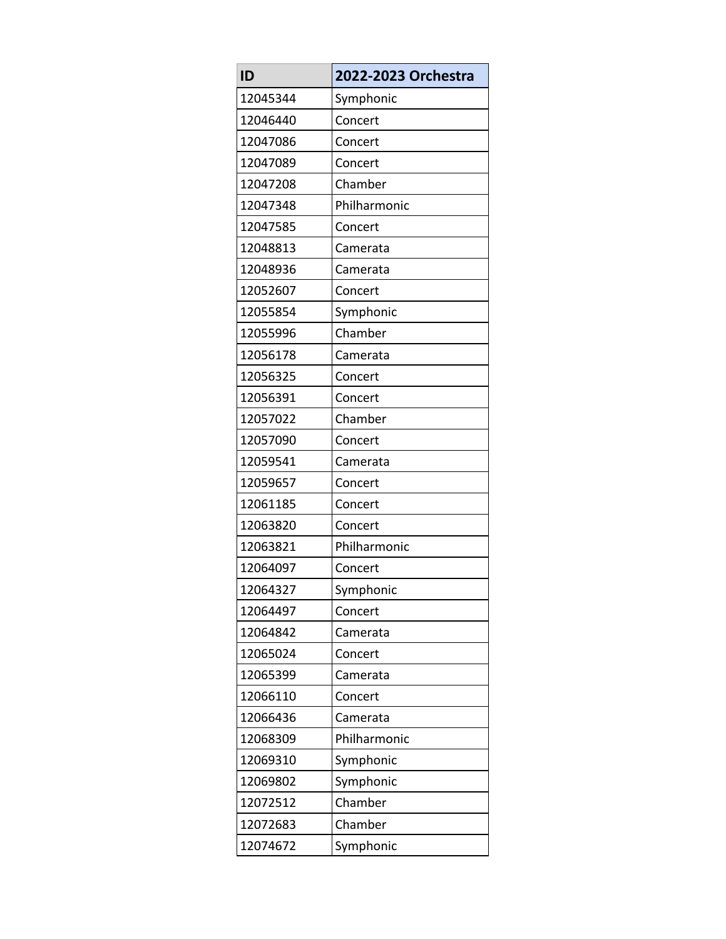| ID       | 2022-2023 Orchestra |
|----------|---------------------|
| 12045344 | Symphonic           |
| 12046440 | Concert             |
| 12047086 | Concert             |
| 12047089 | Concert             |
| 12047208 | Chamber             |
| 12047348 | Philharmonic        |
| 12047585 | Concert             |
| 12048813 | Camerata            |
| 12048936 | Camerata            |
| 12052607 | Concert             |
| 12055854 | Symphonic           |
| 12055996 | Chamber             |
| 12056178 | Camerata            |
| 12056325 | Concert             |
| 12056391 | Concert             |
| 12057022 | Chamber             |
| 12057090 | Concert             |
| 12059541 | Camerata            |
| 12059657 | Concert             |
| 12061185 | Concert             |
| 12063820 | Concert             |
| 12063821 | Philharmonic        |
| 12064097 | Concert             |
| 12064327 | Symphonic           |
| 12064497 | Concert             |
| 12064842 | Camerata            |
| 12065024 | Concert             |
| 12065399 | Camerata            |
| 12066110 | Concert             |
| 12066436 | Camerata            |
| 12068309 | Philharmonic        |
| 12069310 | Symphonic           |
| 12069802 | Symphonic           |
| 12072512 | Chamber             |
| 12072683 | Chamber             |
| 12074672 | Symphonic           |